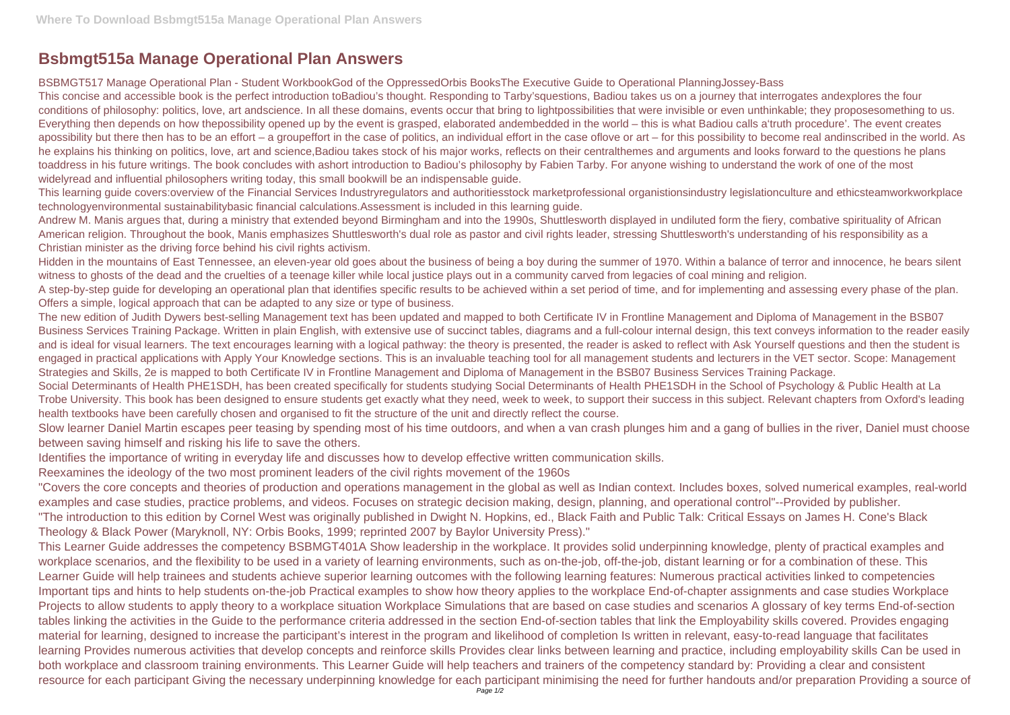## **Bsbmgt515a Manage Operational Plan Answers**

BSBMGT517 Manage Operational Plan - Student WorkbookGod of the OppressedOrbis BooksThe Executive Guide to Operational PlanningJossey-Bass This concise and accessible book is the perfect introduction toBadiou's thought. Responding to Tarby'squestions, Badiou takes us on a journey that interrogates andexplores the four conditions of philosophy: politics, love, art andscience. In all these domains, events occur that bring to lightpossibilities that were invisible or even unthinkable; they proposesomething to us. Everything then depends on how thepossibility opened up by the event is grasped, elaborated andembedded in the world – this is what Badiou calls a'truth procedure'. The event creates apossibility but there then has to be an effort – a groupeffort in the case of politics, an individual effort in the case oflove or art – for this possibility to become real andinscribed in the world. As he explains his thinking on politics, love, art and science,Badiou takes stock of his major works, reflects on their centralthemes and arguments and looks forward to the questions he plans toaddress in his future writings. The book concludes with ashort introduction to Badiou's philosophy by Fabien Tarby. For anyone wishing to understand the work of one of the most widelyread and influential philosophers writing today, this small bookwill be an indispensable guide.

This learning guide covers:overview of the Financial Services Industryregulators and authoritiesstock marketprofessional organistionsindustry legislationculture and ethicsteamworkworkplace technologyenvironmental sustainabilitybasic financial calculations.Assessment is included in this learning guide.

Andrew M. Manis argues that, during a ministry that extended beyond Birmingham and into the 1990s, Shuttlesworth displayed in undiluted form the fiery, combative spirituality of African American religion. Throughout the book, Manis emphasizes Shuttlesworth's dual role as pastor and civil rights leader, stressing Shuttlesworth's understanding of his responsibility as a Christian minister as the driving force behind his civil rights activism.

Hidden in the mountains of East Tennessee, an eleven-year old goes about the business of being a boy during the summer of 1970. Within a balance of terror and innocence, he bears silent witness to ghosts of the dead and the cruelties of a teenage killer while local justice plays out in a community carved from legacies of coal mining and religion. A step-by-step guide for developing an operational plan that identifies specific results to be achieved within a set period of time, and for implementing and assessing every phase of the plan. Offers a simple, logical approach that can be adapted to any size or type of business.

The new edition of Judith Dywers best-selling Management text has been updated and mapped to both Certificate IV in Frontline Management and Diploma of Management in the BSB07 Business Services Training Package. Written in plain English, with extensive use of succinct tables, diagrams and a full-colour internal design, this text conveys information to the reader easily and is ideal for visual learners. The text encourages learning with a logical pathway: the theory is presented, the reader is asked to reflect with Ask Yourself questions and then the student is engaged in practical applications with Apply Your Knowledge sections. This is an invaluable teaching tool for all management students and lecturers in the VET sector. Scope: Management Strategies and Skills, 2e is mapped to both Certificate IV in Frontline Management and Diploma of Management in the BSB07 Business Services Training Package. Social Determinants of Health PHE1SDH, has been created specifically for students studying Social Determinants of Health PHE1SDH in the School of Psychology & Public Health at La Trobe University. This book has been designed to ensure students get exactly what they need, week to week, to support their success in this subject. Relevant chapters from Oxford's leading health textbooks have been carefully chosen and organised to fit the structure of the unit and directly reflect the course.

Slow learner Daniel Martin escapes peer teasing by spending most of his time outdoors, and when a van crash plunges him and a gang of bullies in the river, Daniel must choose between saving himself and risking his life to save the others.

Identifies the importance of writing in everyday life and discusses how to develop effective written communication skills.

Reexamines the ideology of the two most prominent leaders of the civil rights movement of the 1960s

"Covers the core concepts and theories of production and operations management in the global as well as Indian context. Includes boxes, solved numerical examples, real-world examples and case studies, practice problems, and videos. Focuses on strategic decision making, design, planning, and operational control"--Provided by publisher. "The introduction to this edition by Cornel West was originally published in Dwight N. Hopkins, ed., Black Faith and Public Talk: Critical Essays on James H. Cone's Black Theology & Black Power (Maryknoll, NY: Orbis Books, 1999; reprinted 2007 by Baylor University Press)."

This Learner Guide addresses the competency BSBMGT401A Show leadership in the workplace. It provides solid underpinning knowledge, plenty of practical examples and workplace scenarios, and the flexibility to be used in a variety of learning environments, such as on-the-job, off-the-job, distant learning or for a combination of these. This Learner Guide will help trainees and students achieve superior learning outcomes with the following learning features: Numerous practical activities linked to competencies Important tips and hints to help students on-the-job Practical examples to show how theory applies to the workplace End-of-chapter assignments and case studies Workplace Projects to allow students to apply theory to a workplace situation Workplace Simulations that are based on case studies and scenarios A glossary of key terms End-of-section tables linking the activities in the Guide to the performance criteria addressed in the section End-of-section tables that link the Employability skills covered. Provides engaging material for learning, designed to increase the participant's interest in the program and likelihood of completion Is written in relevant, easy-to-read language that facilitates learning Provides numerous activities that develop concepts and reinforce skills Provides clear links between learning and practice, including employability skills Can be used in both workplace and classroom training environments. This Learner Guide will help teachers and trainers of the competency standard by: Providing a clear and consistent resource for each participant Giving the necessary underpinning knowledge for each participant minimising the need for further handouts and/or preparation Providing a source of